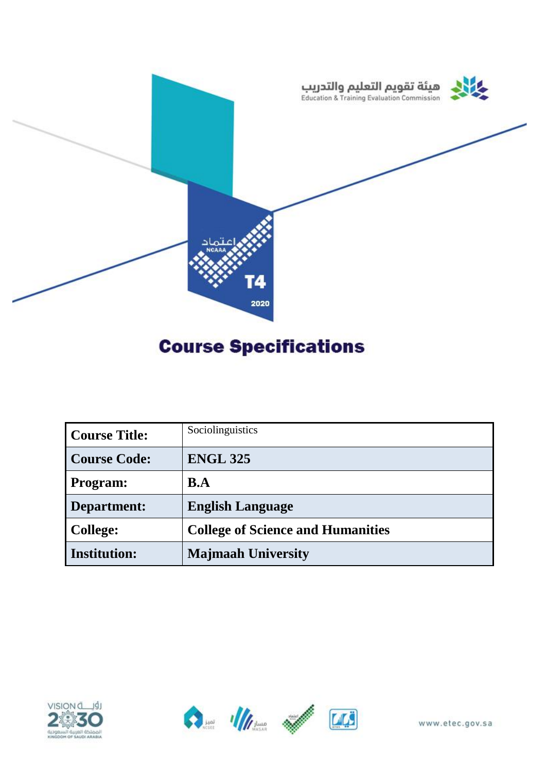

# **Course Specifications**

| Course Title:       | Sociolinguistics                         |
|---------------------|------------------------------------------|
| <b>Course Code:</b> | <b>ENGL 325</b>                          |
| Program:            | B.A                                      |
| Department:         | <b>English Language</b>                  |
| College:            | <b>College of Science and Humanities</b> |
| <b>Institution:</b> | <b>Majmaah University</b>                |





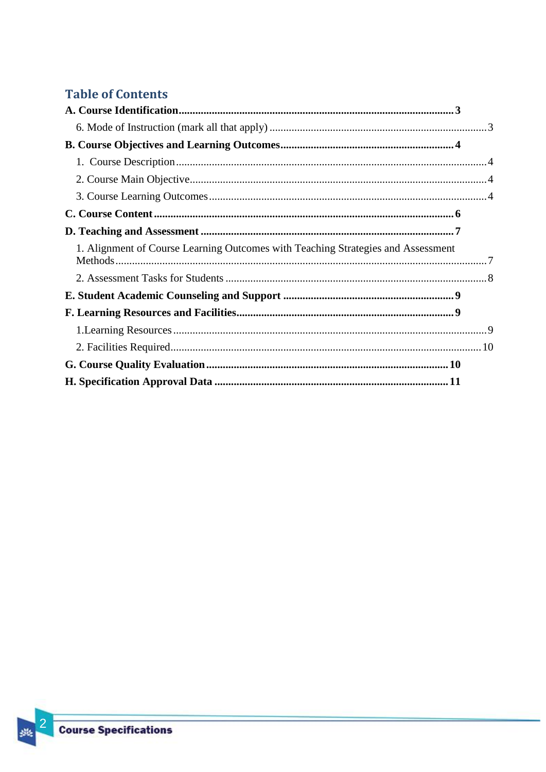# **Table of Contents**

| 1. Alignment of Course Learning Outcomes with Teaching Strategies and Assessment |  |
|----------------------------------------------------------------------------------|--|
|                                                                                  |  |
|                                                                                  |  |
|                                                                                  |  |
|                                                                                  |  |
|                                                                                  |  |
|                                                                                  |  |
|                                                                                  |  |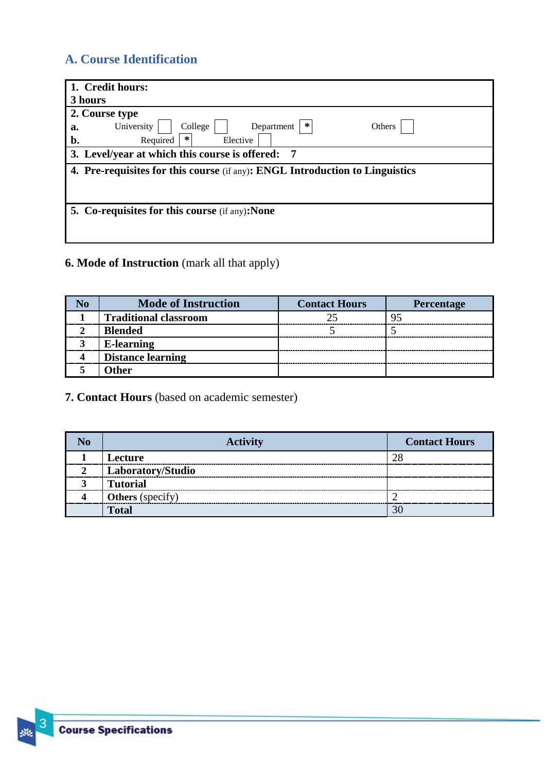# <span id="page-2-0"></span>**A. Course Identification**

| 1. Credit hours:                                                             |
|------------------------------------------------------------------------------|
| 3 hours                                                                      |
| 2. Course type                                                               |
| ∗<br>University<br>College<br>Department<br>Others<br>a.                     |
| ∗<br>b.<br>Required<br>Elective                                              |
| 3. Level/year at which this course is offered:<br>-7                         |
| 4. Pre-requisites for this course (if any): ENGL Introduction to Linguistics |
|                                                                              |
|                                                                              |
| 5. Co-requisites for this course (if any): None                              |
|                                                                              |
|                                                                              |

# <span id="page-2-1"></span>**6. Mode of Instruction** (mark all that apply)

| <b>Mode of Instruction</b>   | <b>Contact Hours</b> | <b>Percentage</b> |
|------------------------------|----------------------|-------------------|
| <b>Traditional classroom</b> |                      |                   |
| <b>Blended</b>               |                      |                   |
| <b>E-learning</b>            |                      |                   |
| <b>Distance learning</b>     |                      |                   |
| )ther                        |                      |                   |

## **7. Contact Hours** (based on academic semester)

| <b>Activity</b>         | <b>Contact Hours</b> |
|-------------------------|----------------------|
| Lecture                 |                      |
| Laboratory/Studio       |                      |
| <b>Tutorial</b>         |                      |
| <b>Others</b> (specify) |                      |
| <b>Total</b>            |                      |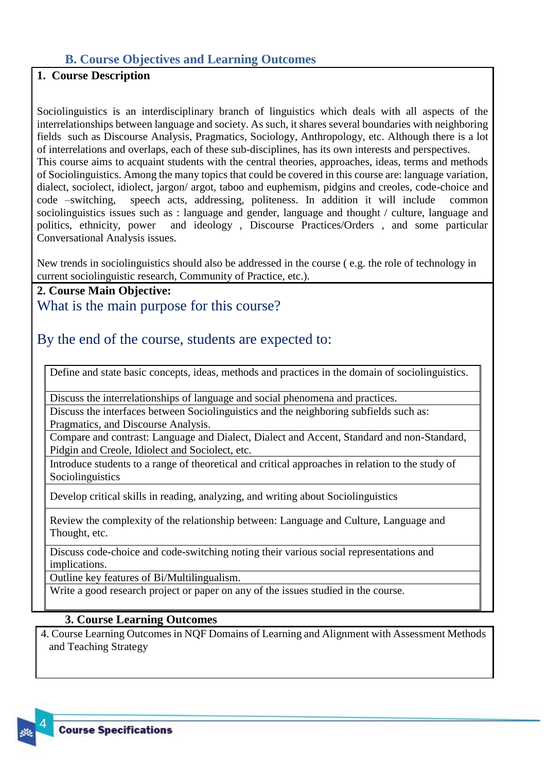#### <span id="page-3-0"></span>**B. Course Objectives and Learning Outcomes**

## <span id="page-3-1"></span>**1. Course Description**

Sociolinguistics is an interdisciplinary branch of linguistics which deals with all aspects of the interrelationships between language and society. As such, it shares several boundaries with neighboring fields such as Discourse Analysis, Pragmatics, Sociology, Anthropology, etc. Although there is a lot of interrelations and overlaps, each of these sub-disciplines, has its own interests and perspectives. This course aims to acquaint students with the central theories, approaches, ideas, terms and methods of Sociolinguistics. Among the many topics that could be covered in this course are: language variation, dialect, sociolect, idiolect, jargon/ argot, taboo and euphemism, pidgins and creoles, code-choice and code –switching, speech acts, addressing, politeness. In addition it will include common sociolinguistics issues such as : language and gender, language and thought / culture, language and politics, ethnicity, power and ideology , Discourse Practices/Orders , and some particular Conversational Analysis issues.

New trends in sociolinguistics should also be addressed in the course ( e.g. the role of technology in current sociolinguistic research, Community of Practice, etc.).

<span id="page-3-2"></span>**2. Course Main Objective:** What is the main purpose for this course?

## By the end of the course, students are expected to:

Define and state basic concepts, ideas, methods and practices in the domain of sociolinguistics.

Discuss the interrelationships of language and social phenomena and practices.

Discuss the interfaces between Sociolinguistics and the neighboring subfields such as: Pragmatics, and Discourse Analysis.

Compare and contrast: Language and Dialect, Dialect and Accent, Standard and non-Standard, Pidgin and Creole, Idiolect and Sociolect, etc.

Introduce students to a range of theoretical and critical approaches in relation to the study of Sociolinguistics

Develop critical skills in reading, analyzing, and writing about Sociolinguistics

Review the complexity of the relationship between: Language and Culture, Language and Thought, etc.

Discuss code-choice and code-switching noting their various social representations and implications.

Outline key features of Bi/Multilingualism.

Write a good research project or paper on any of the issues studied in the course.

#### <span id="page-3-3"></span>**3. Course Learning Outcomes**

4. Course Learning Outcomes in NQF Domains of Learning and Alignment with Assessment Methods and Teaching Strategy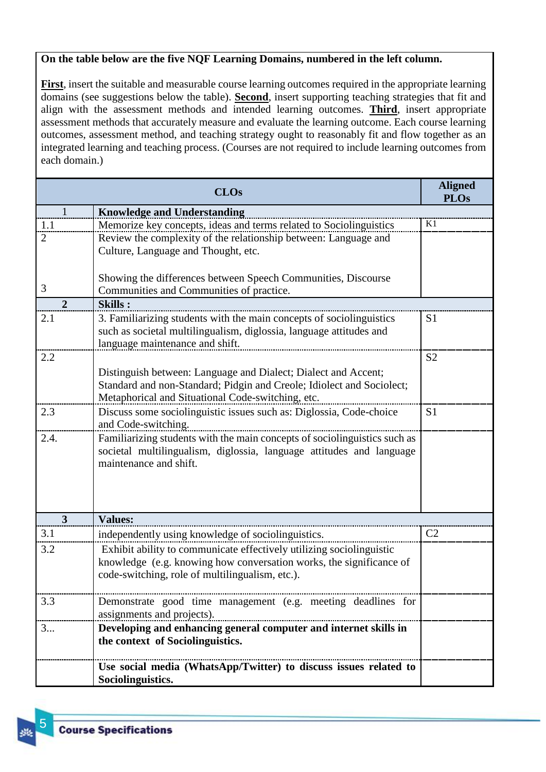#### **On the table below are the five NQF Learning Domains, numbered in the left column.**

**First**, insert the suitable and measurable course learning outcomes required in the appropriate learning domains (see suggestions below the table). **Second**, insert supporting teaching strategies that fit and align with the assessment methods and intended learning outcomes. **Third**, insert appropriate assessment methods that accurately measure and evaluate the learning outcome. Each course learning outcomes, assessment method, and teaching strategy ought to reasonably fit and flow together as an integrated learning and teaching process. (Courses are not required to include learning outcomes from each domain.)

|                | <b>CLOs</b>                                                               | <b>Aligned</b><br><b>PLOs</b> |
|----------------|---------------------------------------------------------------------------|-------------------------------|
| 1              | <b>Knowledge and Understanding</b>                                        |                               |
| 1.1            | Memorize key concepts, ideas and terms related to Sociolinguistics        | K1                            |
| $\overline{2}$ | Review the complexity of the relationship between: Language and           |                               |
|                | Culture, Language and Thought, etc.                                       |                               |
|                |                                                                           |                               |
|                | Showing the differences between Speech Communities, Discourse             |                               |
| 3              | Communities and Communities of practice.                                  |                               |
| $\overline{2}$ | <b>Skills:</b>                                                            |                               |
| 2.1            | 3. Familiarizing students with the main concepts of sociolinguistics      | S <sub>1</sub>                |
|                | such as societal multilingualism, diglossia, language attitudes and       |                               |
|                | language maintenance and shift.                                           |                               |
| 2.2            |                                                                           | S <sub>2</sub>                |
|                | Distinguish between: Language and Dialect; Dialect and Accent;            |                               |
|                | Standard and non-Standard; Pidgin and Creole; Idiolect and Sociolect;     |                               |
|                | Metaphorical and Situational Code-switching, etc.                         |                               |
| 2.3            | Discuss some sociolinguistic issues such as: Diglossia, Code-choice       | S <sub>1</sub>                |
|                | and Code-switching.                                                       |                               |
| 2.4.           | Familiarizing students with the main concepts of sociolinguistics such as |                               |
|                | societal multilingualism, diglossia, language attitudes and language      |                               |
|                | maintenance and shift.                                                    |                               |
|                |                                                                           |                               |
|                |                                                                           |                               |
|                |                                                                           |                               |
| $\overline{3}$ | <b>Values:</b>                                                            |                               |
| 3.1            | independently using knowledge of sociolinguistics.                        | C <sub>2</sub>                |
| 3.2            | Exhibit ability to communicate effectively utilizing sociolinguistic      |                               |
|                | knowledge (e.g. knowing how conversation works, the significance of       |                               |
|                | code-switching, role of multilingualism, etc.).                           |                               |
|                |                                                                           |                               |
| 3.3            | Demonstrate good time management (e.g. meeting deadlines for              |                               |
|                | assignments and projects).                                                |                               |
| 3              | Developing and enhancing general computer and internet skills in          |                               |
|                | the context of Sociolinguistics.                                          |                               |
|                |                                                                           |                               |
|                | Use social media (WhatsApp/Twitter) to discuss issues related to          |                               |
|                | Sociolinguistics.                                                         |                               |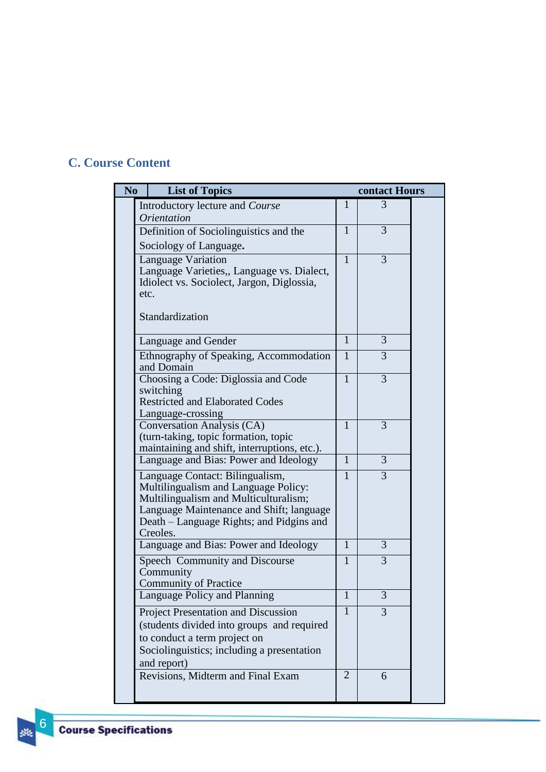# <span id="page-5-0"></span>**C. Course Content**

| N <sub>0</sub> | <b>List of Topics</b>                                                                                                                                                                                                |                | contact Hours  |  |
|----------------|----------------------------------------------------------------------------------------------------------------------------------------------------------------------------------------------------------------------|----------------|----------------|--|
|                | Introductory lecture and Course                                                                                                                                                                                      | $\mathbf{1}$   | 3              |  |
|                | <i><u><b>Orientation</b></u></i>                                                                                                                                                                                     |                |                |  |
|                | Definition of Sociolinguistics and the                                                                                                                                                                               | 1              | 3              |  |
|                | Sociology of Language.                                                                                                                                                                                               |                |                |  |
|                | Language Variation<br>Language Varieties,, Language vs. Dialect,<br>Idiolect vs. Sociolect, Jargon, Diglossia,<br>etc.                                                                                               | 1              | $\overline{3}$ |  |
|                | Standardization                                                                                                                                                                                                      |                |                |  |
|                | Language and Gender                                                                                                                                                                                                  | 1              | 3              |  |
|                | Ethnography of Speaking, Accommodation<br>and Domain                                                                                                                                                                 | $\mathbf{1}$   | 3              |  |
|                | Choosing a Code: Diglossia and Code<br>switching<br><b>Restricted and Elaborated Codes</b><br>Language-crossing                                                                                                      | $\mathbf{1}$   | 3              |  |
|                | Conversation Analysis (CA)<br>(turn-taking, topic formation, topic<br>maintaining and shift, interruptions, etc.).                                                                                                   | 1              | 3              |  |
|                | Language and Bias: Power and Ideology                                                                                                                                                                                | $\mathbf{1}$   | 3              |  |
|                | Language Contact: Bilingualism,<br>Multilingualism and Language Policy:<br>Multilingualism and Multiculturalism;<br>Language Maintenance and Shift; language<br>Death – Language Rights; and Pidgins and<br>Creoles. | 1              | 3              |  |
|                | Language and Bias: Power and Ideology                                                                                                                                                                                | 1              | $\overline{3}$ |  |
|                | Speech Community and Discourse<br>Community<br><b>Community of Practice</b>                                                                                                                                          | $\mathbf{1}$   | $\overline{3}$ |  |
|                | Language Policy and Planning                                                                                                                                                                                         | $\mathbf{1}$   | $\overline{3}$ |  |
|                | <b>Project Presentation and Discussion</b><br>(students divided into groups and required<br>to conduct a term project on<br>Sociolinguistics; including a presentation<br>and report)                                | $\mathbf{1}$   | 3              |  |
|                | Revisions, Midterm and Final Exam                                                                                                                                                                                    | $\overline{2}$ | 6              |  |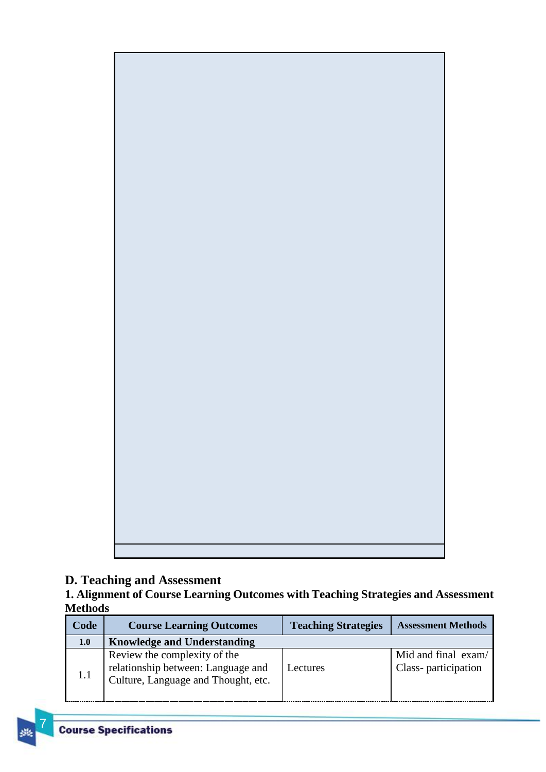

# <span id="page-6-0"></span>**D. Teaching and Assessment**

<span id="page-6-1"></span>**1. Alignment of Course Learning Outcomes with Teaching Strategies and Assessment Methods**

| Code | <b>Course Learning Outcomes</b>                                                                           | <b>Teaching Strategies</b> | <b>Assessment Methods</b>                  |
|------|-----------------------------------------------------------------------------------------------------------|----------------------------|--------------------------------------------|
| 1.0  | <b>Knowledge and Understanding</b>                                                                        |                            |                                            |
| 1.1  | Review the complexity of the<br>relationship between: Language and<br>Culture, Language and Thought, etc. | Lectures                   | Mid and final exam/<br>Class-participation |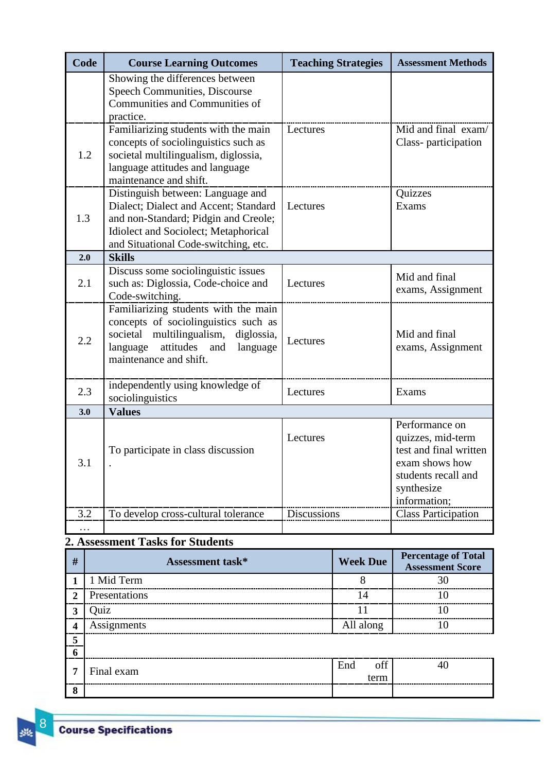| Code | <b>Course Learning Outcomes</b>                                                                                                                                                                    | <b>Teaching Strategies</b> | <b>Assessment Methods</b>                                                                                                            |
|------|----------------------------------------------------------------------------------------------------------------------------------------------------------------------------------------------------|----------------------------|--------------------------------------------------------------------------------------------------------------------------------------|
|      | Showing the differences between<br>Speech Communities, Discourse<br>Communities and Communities of<br>practice.                                                                                    |                            |                                                                                                                                      |
| 1.2  | Familiarizing students with the main<br>concepts of sociolinguistics such as<br>societal multilingualism, diglossia,<br>language attitudes and language<br>maintenance and shift.                  | Lectures                   | Mid and final exam/<br>Class-participation                                                                                           |
| 1.3  | Distinguish between: Language and<br>Dialect; Dialect and Accent; Standard<br>and non-Standard; Pidgin and Creole;<br>Idiolect and Sociolect; Metaphorical<br>and Situational Code-switching, etc. | Lectures                   | Quizzes<br>Exams                                                                                                                     |
| 2.0  | <b>Skills</b>                                                                                                                                                                                      |                            |                                                                                                                                      |
| 2.1  | Discuss some sociolinguistic issues<br>such as: Diglossia, Code-choice and<br>Code-switching.                                                                                                      | Lectures                   | Mid and final<br>exams, Assignment                                                                                                   |
| 2.2  | Familiarizing students with the main<br>concepts of sociolinguistics such as<br>societal multilingualism,<br>diglossia,<br>attitudes and<br>language<br>language<br>maintenance and shift.         | Lectures                   | Mid and final<br>exams, Assignment                                                                                                   |
| 2.3  | independently using knowledge of<br>sociolinguistics                                                                                                                                               | Lectures                   | Exams                                                                                                                                |
| 3.0  | <b>Values</b>                                                                                                                                                                                      |                            |                                                                                                                                      |
| 3.1  | To participate in class discussion                                                                                                                                                                 | Lectures                   | Performance on<br>quizzes, mid-term<br>test and final written<br>exam shows how<br>students recall and<br>synthesize<br>information; |
| 3.2  | To develop cross-cultural tolerance                                                                                                                                                                | Discussions                | <b>Class Participation</b>                                                                                                           |
|      |                                                                                                                                                                                                    |                            |                                                                                                                                      |

# <span id="page-7-0"></span>**2. Assessment Tasks for Students**

| #                | Assessment task* | <b>Week Due</b> | <b>Percentage of Total</b><br><b>Assessment Score</b> |
|------------------|------------------|-----------------|-------------------------------------------------------|
|                  | 1 Mid Term       |                 |                                                       |
| $\overline{2}$   | Presentations    | 14              |                                                       |
| $\boldsymbol{3}$ | Ouiz             |                 |                                                       |
| $\boldsymbol{4}$ | Assignments      | All along       |                                                       |
| 5                |                  |                 |                                                       |
| - 6              |                  |                 |                                                       |
| 7                | Final exam       | End<br>off      |                                                       |
|                  |                  | term            |                                                       |
| 8                |                  |                 |                                                       |

3K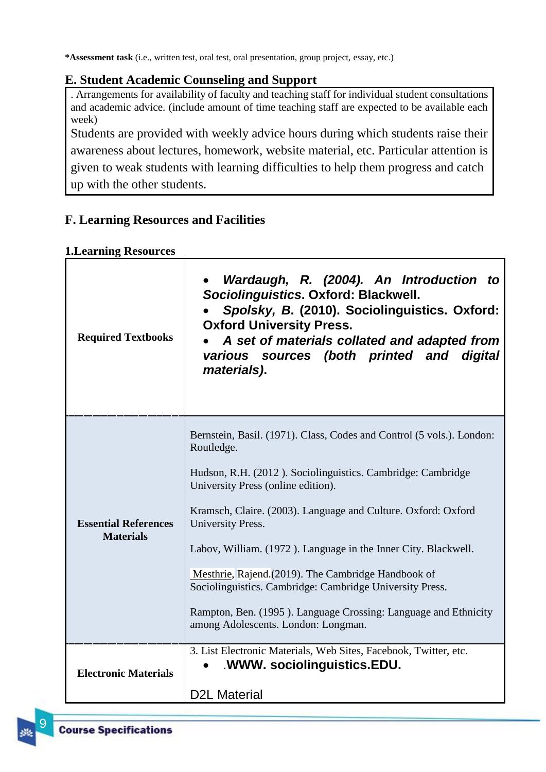**\*Assessment task** (i.e., written test, oral test, oral presentation, group project, essay, etc.)

## <span id="page-8-0"></span>**E. Student Academic Counseling and Support**

. Arrangements for availability of faculty and teaching staff for individual student consultations and academic advice. (include amount of time teaching staff are expected to be available each week)

Students are provided with weekly advice hours during which students raise their awareness about lectures, homework, website material, etc. Particular attention is given to weak students with learning difficulties to help them progress and catch up with the other students.

# <span id="page-8-1"></span>**F. Learning Resources and Facilities**

#### <span id="page-8-2"></span>**1.Learning Resources**

| <b>Required Textbooks</b>                       | Wardaugh, R. (2004). An Introduction to<br>Sociolinguistics. Oxford: Blackwell.<br>Spolsky, B. (2010). Sociolinguistics. Oxford:<br><b>Oxford University Press.</b><br>A set of materials collated and adapted from<br>various sources (both printed and digital<br>materials).                                                                                                                                                                                                                                                                                               |
|-------------------------------------------------|-------------------------------------------------------------------------------------------------------------------------------------------------------------------------------------------------------------------------------------------------------------------------------------------------------------------------------------------------------------------------------------------------------------------------------------------------------------------------------------------------------------------------------------------------------------------------------|
| <b>Essential References</b><br><b>Materials</b> | Bernstein, Basil. (1971). Class, Codes and Control (5 vols.). London:<br>Routledge.<br>Hudson, R.H. (2012). Sociolinguistics. Cambridge: Cambridge<br>University Press (online edition).<br>Kramsch, Claire. (2003). Language and Culture. Oxford: Oxford<br>University Press.<br>Labov, William. (1972). Language in the Inner City. Blackwell.<br>Mesthrie, Rajend. (2019). The Cambridge Handbook of<br>Sociolinguistics. Cambridge: Cambridge University Press.<br>Rampton, Ben. (1995). Language Crossing: Language and Ethnicity<br>among Adolescents. London: Longman. |
| <b>Electronic Materials</b>                     | 3. List Electronic Materials, Web Sites, Facebook, Twitter, etc.<br>WWW. sociolinguistics.EDU.<br><b>D2L Material</b>                                                                                                                                                                                                                                                                                                                                                                                                                                                         |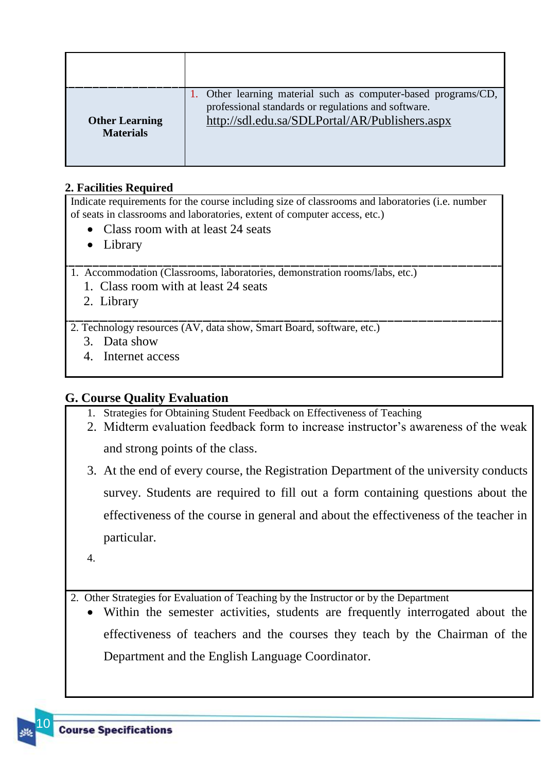| <b>Other Learning</b><br><b>Materials</b> | 1. Other learning material such as computer-based programs/CD,<br>professional standards or regulations and software.<br>http://sdl.edu.sa/SDLPortal/AR/Publishers.aspx |
|-------------------------------------------|-------------------------------------------------------------------------------------------------------------------------------------------------------------------------|

### <span id="page-9-0"></span>**2. Facilities Required**

Indicate requirements for the course including size of classrooms and laboratories (i.e. number of seats in classrooms and laboratories, extent of computer access, etc.)

- Class room with at least 24 seats
- Library

1. Accommodation (Classrooms, laboratories, demonstration rooms/labs, etc.)

- 1. Class room with at least 24 seats
- 2. Library

2. Technology resources (AV, data show, Smart Board, software, etc.)

- 3. Data show
- 4. Internet access

# <span id="page-9-1"></span>**G. Course Quality Evaluation**

- 1. Strategies for Obtaining Student Feedback on Effectiveness of Teaching
- 2. Midterm evaluation feedback form to increase instructor's awareness of the weak

and strong points of the class.

3. At the end of every course, the Registration Department of the university conducts survey. Students are required to fill out a form containing questions about the effectiveness of the course in general and about the effectiveness of the teacher in particular.

4.

2. Other Strategies for Evaluation of Teaching by the Instructor or by the Department

 Within the semester activities, students are frequently interrogated about the effectiveness of teachers and the courses they teach by the Chairman of the Department and the English Language Coordinator.